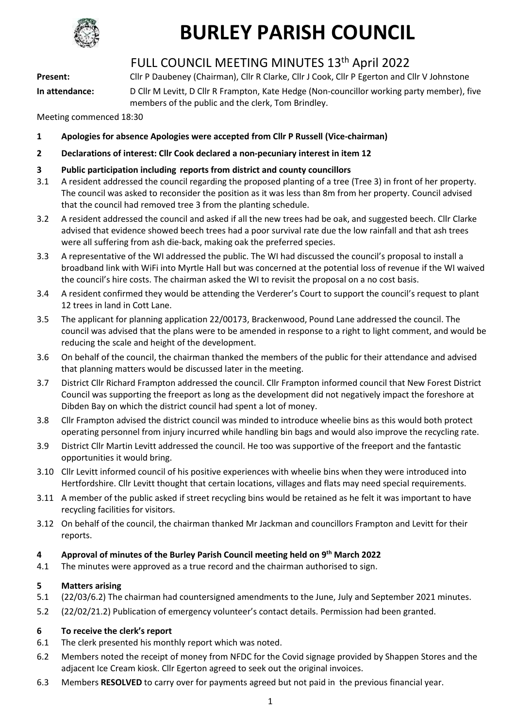

### FULL COUNCIL MEETING MINUTES 13th April 2022

**Present:** Cllr P Daubeney (Chairman), Cllr R Clarke, Cllr J Cook, Cllr P Egerton and Cllr V Johnstone

**In attendance:** D Cllr M Levitt, D Cllr R Frampton, Kate Hedge (Non-councillor working party member), five members of the public and the clerk, Tom Brindley.

Meeting commenced 18:30

- **1 Apologies for absence Apologies were accepted from Cllr P Russell (Vice-chairman)**
- **2 Declarations of interest: Cllr Cook declared a non-pecuniary interest in item 12**
- **3 Public participation including reports from district and county councillors**
- 3.1 A resident addressed the council regarding the proposed planting of a tree (Tree 3) in front of her property. The council was asked to reconsider the position as it was less than 8m from her property. Council advised that the council had removed tree 3 from the planting schedule.
- 3.2 A resident addressed the council and asked if all the new trees had be oak, and suggested beech. Cllr Clarke advised that evidence showed beech trees had a poor survival rate due the low rainfall and that ash trees were all suffering from ash die-back, making oak the preferred species.
- 3.3 A representative of the WI addressed the public. The WI had discussed the council's proposal to install a broadband link with WiFi into Myrtle Hall but was concerned at the potential loss of revenue if the WI waived the council's hire costs. The chairman asked the WI to revisit the proposal on a no cost basis.
- 3.4 A resident confirmed they would be attending the Verderer's Court to support the council's request to plant 12 trees in land in Cott Lane.
- 3.5 The applicant for planning application 22/00173, Brackenwood, Pound Lane addressed the council. The council was advised that the plans were to be amended in response to a right to light comment, and would be reducing the scale and height of the development.
- 3.6 On behalf of the council, the chairman thanked the members of the public for their attendance and advised that planning matters would be discussed later in the meeting.
- 3.7 District Cllr Richard Frampton addressed the council. Cllr Frampton informed council that New Forest District Council was supporting the freeport as long as the development did not negatively impact the foreshore at Dibden Bay on which the district council had spent a lot of money.
- 3.8 Cllr Frampton advised the district council was minded to introduce wheelie bins as this would both protect operating personnel from injury incurred while handling bin bags and would also improve the recycling rate.
- 3.9 District Cllr Martin Levitt addressed the council. He too was supportive of the freeport and the fantastic opportunities it would bring.
- 3.10 Cllr Levitt informed council of his positive experiences with wheelie bins when they were introduced into Hertfordshire. Cllr Levitt thought that certain locations, villages and flats may need special requirements.
- 3.11 A member of the public asked if street recycling bins would be retained as he felt it was important to have recycling facilities for visitors.
- 3.12 On behalf of the council, the chairman thanked Mr Jackman and councillors Frampton and Levitt for their reports.

### **4 Approval of minutes of the Burley Parish Council meeting held on 9 th March 2022**

4.1 The minutes were approved as a true record and the chairman authorised to sign.

### **5 Matters arising**

- 5.1 (22/03/6.2) The chairman had countersigned amendments to the June, July and September 2021 minutes.
- 5.2 (22/02/21.2) Publication of emergency volunteer's contact details. Permission had been granted.

### **6 To receive the clerk's report**

- 6.1 The clerk presented his monthly report which was noted.
- 6.2 Members noted the receipt of money from NFDC for the Covid signage provided by Shappen Stores and the adjacent Ice Cream kiosk. Cllr Egerton agreed to seek out the original invoices.
- 6.3 Members **RESOLVED** to carry over for payments agreed but not paid in the previous financial year.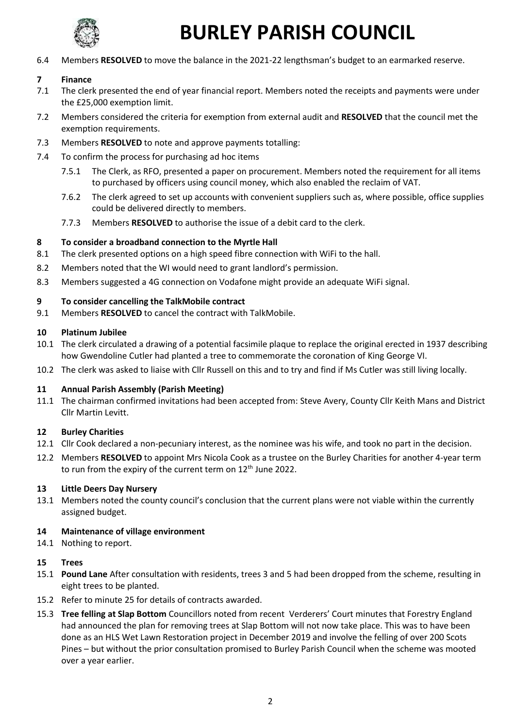

6.4 Members **RESOLVED** to move the balance in the 2021-22 lengthsman's budget to an earmarked reserve.

### **7 Finance**

- 7.1 The clerk presented the end of year financial report. Members noted the receipts and payments were under the £25,000 exemption limit.
- 7.2 Members considered the criteria for exemption from external audit and **RESOLVED** that the council met the exemption requirements.
- 7.3 Members **RESOLVED** to note and approve payments totalling:
- 7.4 To confirm the process for purchasing ad hoc items
	- 7.5.1 The Clerk, as RFO, presented a paper on procurement. Members noted the requirement for all items to purchased by officers using council money, which also enabled the reclaim of VAT.
	- 7.6.2 The clerk agreed to set up accounts with convenient suppliers such as, where possible, office supplies could be delivered directly to members.
	- 7.7.3 Members **RESOLVED** to authorise the issue of a debit card to the clerk.

### **8 To consider a broadband connection to the Myrtle Hall**

- 8.1 The clerk presented options on a high speed fibre connection with WiFi to the hall.
- 8.2 Members noted that the WI would need to grant landlord's permission.
- 8.3 Members suggested a 4G connection on Vodafone might provide an adequate WiFi signal.

### **9 To consider cancelling the TalkMobile contract**

9.1 Members **RESOLVED** to cancel the contract with TalkMobile.

### **10 Platinum Jubilee**

- 10.1 The clerk circulated a drawing of a potential facsimile plaque to replace the original erected in 1937 describing how Gwendoline Cutler had planted a tree to commemorate the coronation of King George VI.
- 10.2 The clerk was asked to liaise with Cllr Russell on this and to try and find if Ms Cutler was still living locally.

### **11 Annual Parish Assembly (Parish Meeting)**

11.1 The chairman confirmed invitations had been accepted from: Steve Avery, County Cllr Keith Mans and District Cllr Martin Levitt.

### **12 Burley Charities**

- 12.1 Cllr Cook declared a non-pecuniary interest, as the nominee was his wife, and took no part in the decision.
- 12.2 Members **RESOLVED** to appoint Mrs Nicola Cook as a trustee on the Burley Charities for another 4-year term to run from the expiry of the current term on 12<sup>th</sup> June 2022.

### **13 Little Deers Day Nursery**

13.1 Members noted the county council's conclusion that the current plans were not viable within the currently assigned budget.

### **14 Maintenance of village environment**

14.1 Nothing to report.

### **15 Trees**

- 15.1 **Pound Lane** After consultation with residents, trees 3 and 5 had been dropped from the scheme, resulting in eight trees to be planted.
- 15.2 Refer to minute 25 for details of contracts awarded.
- 15.3 **Tree felling at Slap Bottom** Councillors noted from recent Verderers' Court minutes that Forestry England had announced the plan for removing trees at Slap Bottom will not now take place. This was to have been done as an HLS Wet Lawn Restoration project in December 2019 and involve the felling of over 200 Scots Pines – but without the prior consultation promised to Burley Parish Council when the scheme was mooted over a year earlier.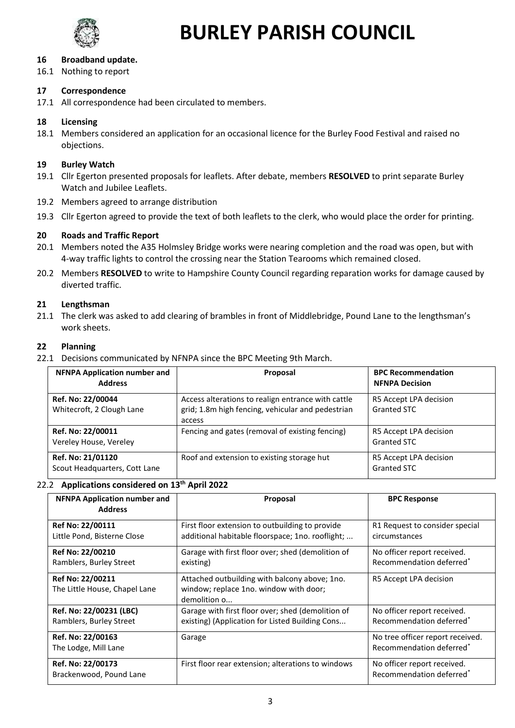

### **16 Broadband update.**

16.1 Nothing to report

### **17 Correspondence**

17.1 All correspondence had been circulated to members.

### **18 Licensing**

18.1 Members considered an application for an occasional licence for the Burley Food Festival and raised no objections.

### **19 Burley Watch**

- 19.1 Cllr Egerton presented proposals for leaflets. After debate, members **RESOLVED** to print separate Burley Watch and Jubilee Leaflets.
- 19.2 Members agreed to arrange distribution
- 19.3 Cllr Egerton agreed to provide the text of both leaflets to the clerk, who would place the order for printing.

### **20 Roads and Traffic Report**

- 20.1 Members noted the A35 Holmsley Bridge works were nearing completion and the road was open, but with 4-way traffic lights to control the crossing near the Station Tearooms which remained closed.
- 20.2 Members **RESOLVED** to write to Hampshire County Council regarding reparation works for damage caused by diverted traffic.

### **21 Lengthsman**

21.1 The clerk was asked to add clearing of brambles in front of Middlebridge, Pound Lane to the lengthsman's work sheets.

### **22 Planning**

22.1 Decisions communicated by NFNPA since the BPC Meeting 9th March.

| <b>NFNPA Application number and</b><br><b>Address</b> | Proposal                                                                                                          | <b>BPC Recommendation</b><br><b>NFNPA Decision</b> |
|-------------------------------------------------------|-------------------------------------------------------------------------------------------------------------------|----------------------------------------------------|
| Ref. No: 22/00044<br>Whitecroft, 2 Clough Lane        | Access alterations to realign entrance with cattle<br>grid; 1.8m high fencing, vehicular and pedestrian<br>access | R5 Accept LPA decision<br>Granted STC              |
| Ref. No: 22/00011<br>Vereley House, Vereley           | Fencing and gates (removal of existing fencing)                                                                   | R5 Accept LPA decision<br>Granted STC              |
| Ref. No: 21/01120<br>Scout Headquarters, Cott Lane    | Roof and extension to existing storage hut                                                                        | R5 Accept LPA decision<br>Granted STC              |

### 22.2 **Applications considered on 13th April 2022**

| <b>NFNPA Application number and</b><br><b>Address</b> | Proposal                                               | <b>BPC Response</b>                  |
|-------------------------------------------------------|--------------------------------------------------------|--------------------------------------|
| Ref No: 22/00111                                      | First floor extension to outbuilding to provide        | R1 Request to consider special       |
| Little Pond, Bisterne Close                           | additional habitable floorspace; 1no. rooflight;       | circumstances                        |
| Ref No: 22/00210                                      | Garage with first floor over; shed (demolition of      | No officer report received.          |
| Ramblers, Burley Street                               | existing)                                              | Recommendation deferred <sup>*</sup> |
| Ref No: 22/00211                                      | Attached outbuilding with balcony above; 1no.          | R5 Accept LPA decision               |
| The Little House, Chapel Lane                         | window; replace 1no. window with door;<br>demolition o |                                      |
| Ref. No: 22/00231 (LBC)                               | Garage with first floor over; shed (demolition of      | No officer report received.          |
| Ramblers, Burley Street                               | existing) (Application for Listed Building Cons        | Recommendation deferred <sup>*</sup> |
| Ref. No: 22/00163                                     | Garage                                                 | No tree officer report received.     |
| The Lodge, Mill Lane                                  |                                                        | Recommendation deferred <sup>*</sup> |
| Ref. No: 22/00173                                     | First floor rear extension; alterations to windows     | No officer report received.          |
| Brackenwood, Pound Lane                               |                                                        | Recommendation deferred <sup>*</sup> |